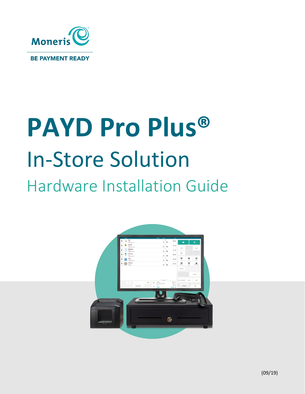

# **PAYD Pro Plus®** In-Store Solution Hardware Installation Guide

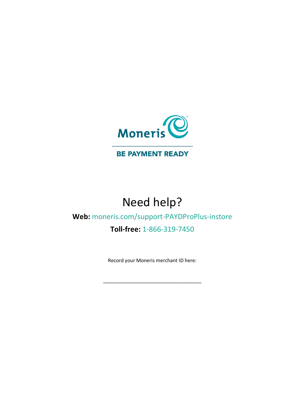

#### **BE PAYMENT READY**

# Need help?

### **Web:** [moneris.com/support-PAYDProPlus-instore](https://moneris.com/support-PAYDProPlus-instore)

#### **Toll-free:** 1-866-319-7450

Record your Moneris merchant ID here:

\_\_\_\_\_\_\_\_\_\_\_\_\_\_\_\_\_\_\_\_\_\_\_\_\_\_\_\_\_\_\_\_\_\_\_\_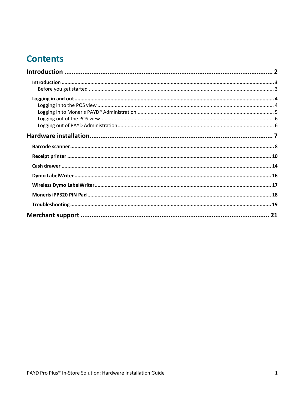## **Contents**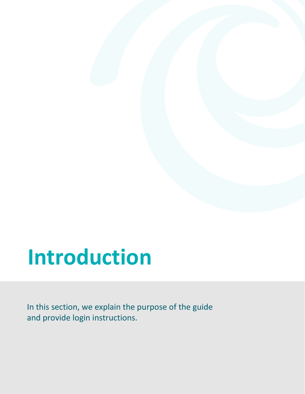# <span id="page-3-0"></span>**Introduction**

In this section, we explain the purpose of the guide and provide login instructions.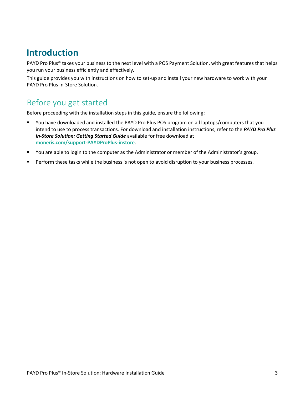### <span id="page-4-0"></span>**Introduction**

PAYD Pro Plus<sup>®</sup> takes your business to the next level with a POS Payment Solution, with great features that helps you run your business efficiently and effectively.

This guide provides you with instructions on how to set-up and install your new hardware to work with your PAYD Pro Plus In-Store Solution.

### <span id="page-4-1"></span>Before you get started

Before proceeding with the installation steps in this guide, ensure the following:

- You have downloaded and installed the PAYD Pro Plus POS program on all laptops/computers that you intend to use to process transactions. For download and installation instructions, refer to the *PAYD Pro Plus In-Store Solution: Getting Started Guide* available for free download at **[moneris.com/support-PAYDProPlus-instore](https://moneris.com/support-PAYDProPlus-instore)**.
- You are able to login to the computer as the Administrator or member of the Administrator's group.
- **Perform these tasks while the business is not open to avoid disruption to your business processes.**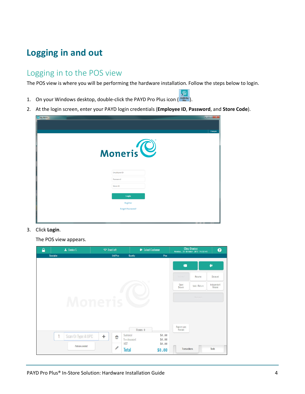## <span id="page-5-0"></span>**Logging in and out**

### <span id="page-5-1"></span>Logging in to the POS view

The POS view is where you will be performing the hardware installation. Follow the steps below to login.

 $\mathcal{P}_\mathbf{R}$ 

- 1. On your Windows desktop, double-click the PAYD Pro Plus icon (
- 2. At the login screen, enter your PAYD login credentials (**Employee ID**, **Password**, and **Store Code**).

| <b>C</b> My PAYD |                         |          |
|------------------|-------------------------|----------|
|                  |                         |          |
|                  |                         | Français |
|                  |                         |          |
|                  |                         |          |
|                  |                         |          |
|                  | Moneris <sup>O</sup>    |          |
|                  |                         |          |
|                  |                         |          |
|                  | <b>Employee ID</b>      |          |
|                  | Password                |          |
|                  | Store ID                |          |
|                  |                         |          |
|                  | Login                   |          |
|                  | Register                |          |
|                  | <b>Forgot Password?</b> |          |
|                  |                         |          |
|                  |                         |          |

3. Click **Login**.

The POS view appears.

| ₽                  | L Denise S. | $\blacksquare$ Front left    |          | Select Customer |                                | <b>Chez Denise</b><br>Monday, 23 October 2017 14:37:43 | ❸                                                     |
|--------------------|-------------|------------------------------|----------|-----------------|--------------------------------|--------------------------------------------------------|-------------------------------------------------------|
| <b>Description</b> |             | <b>Unit Price</b><br>Moneris | Quantity | Price           | ¢<br>Suspend<br>Open<br>Drawer | Resume<br>Void / Return<br>Sheckout                    | $\bullet$<br><b>Discount</b><br>Independent<br>Refund |
|                    |             |                              |          |                 |                                |                                                        |                                                       |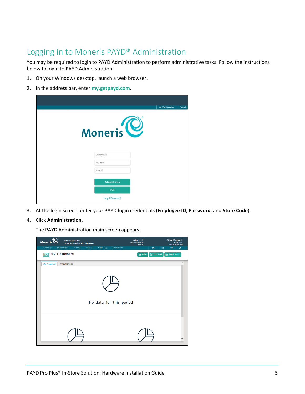### <span id="page-6-0"></span>Logging in to Moneris PAYD® Administration

You may be required to login to PAYD Administration to perform administrative tasks. Follow the instructions below to login to PAYD Administration.

- 1. On your Windows desktop, launch a web browser.
- 2. In the address bar, enter **[my.getpayd.com](https://my.getpayd.com/ebox/)**.

|                       | <b>Q</b> Multi Location | Français |
|-----------------------|-------------------------|----------|
| Moneris <sup>10</sup> |                         |          |
| Employee ID           |                         |          |
| Password              |                         |          |
| Store ID              |                         |          |
| <b>Administration</b> |                         |          |
| POS                   |                         |          |
| Forgot Password?      |                         |          |

3. At the login screen, enter your PAYD login credentials (**Employee ID**, **Password**, and **Store Code**).

#### 4. Click **Administration**.

The PAYD Administration main screen appears.

| <b>Administration</b><br>Moneris <sup>1</sup><br>Terms & Conditions   Moneris Solutions @2017 |                                      | Admin1 $\triangle$<br><b>Super Administrator</b><br><b>Sign Out</b> | Chez Denise<br>[Platinum Package]           | posca00400 |
|-----------------------------------------------------------------------------------------------|--------------------------------------|---------------------------------------------------------------------|---------------------------------------------|------------|
| <b>Transactions</b><br><b>Reports</b><br>Inventory                                            | <b>Profiles</b><br><b>Audit Logs</b> | Ecommerce                                                           | $\odot$<br>昌<br>囜                           | ď          |
| My Dashboard<br><b>Bull</b>                                                                   |                                      |                                                                     | this Week<br>Select Month<br><b>曲 Today</b> |            |
| My Dashboard<br>Announcements                                                                 |                                      | No data for this period                                             |                                             | $\wedge$   |
|                                                                                               |                                      |                                                                     |                                             |            |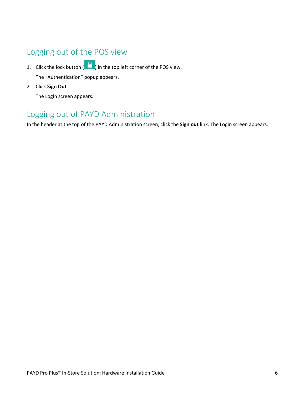### <span id="page-7-0"></span>Logging out of the POS view

1. Click the lock button ( $\Box$ ) in the top left corner of the POS view. The "Authentication" popup appears.

2. Click **Sign Out**.

The Login screen appears.

### <span id="page-7-1"></span>Logging out of PAYD Administration

In the header at the top of the PAYD Administration screen, click the **Sign out** link. The Login screen appears.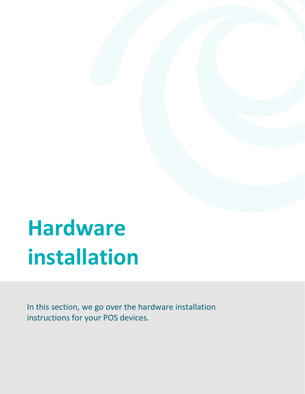# <span id="page-8-0"></span>**Hardware installation**

In this section, we go over the hardware installation instructions for your POS devices.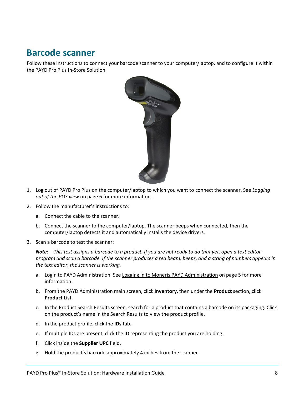### <span id="page-9-0"></span>**Barcode scanner**

Follow these instructions to connect your barcode scanner to your computer/laptop, and to configure it within the PAYD Pro Plus In-Store Solution.



- 1. Log out of PAYD Pro Plus on the computer/laptop to which you want to connect the scanner. See *Logging out of the POS view* on page [6](#page-7-0) for more information.
- 2. Follow the manufacturer's instructions to:
	- a. Connect the cable to the scanner.
	- b. Connect the scanner to the computer/laptop. The scanner beeps when connected, then the computer/laptop detects it and automatically installs the device drivers.
- 3. Scan a barcode to test the scanner:

*Note: This test assigns a barcode to a product. If you are not ready to do that yet, open a text editor program and scan a barcode. If the scanner produces a red beam, beeps, and a string of numbers appears in the text editor, the scanner is working.*

- a. Login to PAYD Administration. See [Logging in to Moneris PAYD Administration](#page-6-0) on page [5](#page-6-0) for more information.
- b. From the PAYD Administration main screen, click **Inventory**, then under the **Product** section, click **Product List**.
- c. In the Product Search Results screen, search for a product that contains a barcode on its packaging. Click on the product's name in the Search Results to view the product profile.
- d. In the product profile, click the **IDs** tab.
- e. If multiple IDs are present, click the ID representing the product you are holding.
- f. Click inside the **Supplier UPC** field.
- g. Hold the product's barcode approximately 4 inches from the scanner.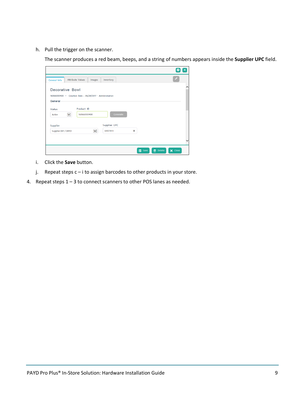h. Pull the trigger on the scanner.

The scanner produces a red beam, beeps, and a string of numbers appears inside the **Supplier UPC** field.

| <b>Attribute Values</b><br>General Info                   | Images                    | Inventory    |   |               |                 |                               |   |
|-----------------------------------------------------------|---------------------------|--------------|---|---------------|-----------------|-------------------------------|---|
| Decorative Bowl                                           |                           |              |   |               |                 |                               | ∧ |
| 16066000400 - Creation Date : 06/28/2017 - Administration |                           |              |   |               |                 |                               |   |
| General-                                                  |                           |              |   |               |                 |                               |   |
| <b>Status</b><br>$\checkmark$<br>Active                   | Product ID<br>16066000400 | Generate     |   |               |                 |                               |   |
| Supplier                                                  |                           | Supplier UPC |   |               |                 |                               |   |
| Supplier DEF / DEF01                                      | $\checkmark$              | 645739-1     | × |               |                 |                               |   |
|                                                           |                           |              |   |               |                 |                               |   |
|                                                           |                           |              |   | <b>H</b> Save | <b>m</b> Delete | $\overline{\mathsf{X}}$ Close |   |

- i. Click the **Save** button.
- j. Repeat steps c i to assign barcodes to other products in your store.
- 4. Repeat steps 1 3 to connect scanners to other POS lanes as needed.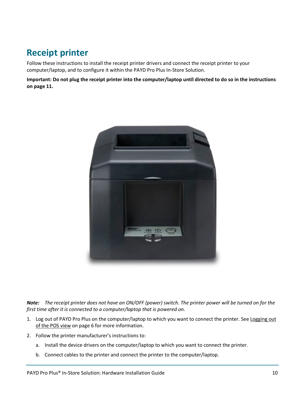### <span id="page-11-0"></span>**Receipt printer**

Follow these instructions to install the receipt printer drivers and connect the receipt printer to your computer/laptop, and to configure it within the PAYD Pro Plus In-Store Solution.

**Important: Do not plug the receipt printer into the computer/laptop until directed to do so in the instructions on page 11.**



*Note: The receipt printer does not have an ON/OFF (power) switch. The printer power will be turned on for the first time after it is connected to a computer/laptop that is powered on.*

- 1. Log out of PAYD Pro Plus on the computer/laptop to which you want to connect the printer. See Logging out [of the POS view](#page-7-0) on page [6](#page-7-0) for more information.
- 2. Follow the printer manufacturer's instructions to:
	- a. Install the device drivers on the computer/laptop to which you want to connect the printer.
	- b. Connect cables to the printer and connect the printer to the computer/laptop.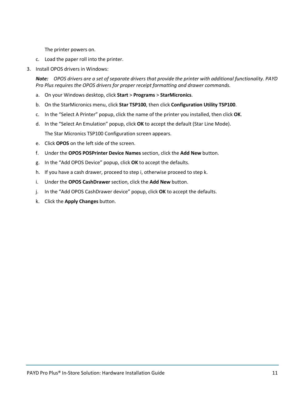The printer powers on.

- c. Load the paper roll into the printer.
- 3. Install OPOS drivers in Windows:

*Note: OPOS drivers are a set of separate drivers that provide the printer with additional functionality. PAYD Pro Plus requires the OPOS drivers for proper receipt formatting and drawer commands.*

- a. On your Windows desktop, click **Start** > **Programs** > **StarMicronics**.
- b. On the StarMicronics menu, click **Star TSP100**, then click **Configuration Utility TSP100**.
- c. In the "Select A Printer" popup, click the name of the printer you installed, then click **OK**.
- d. In the "Select An Emulation" popup, click **OK** to accept the default (Star Line Mode). The Star Micronics TSP100 Configuration screen appears.
- e. Click **OPOS** on the left side of the screen.
- f. Under the **OPOS POSPrinter Device Names** section, click the **Add New** button.
- g. In the "Add OPOS Device" popup, click **OK** to accept the defaults.
- h. If you have a cash drawer, proceed to step i, otherwise proceed to step k.
- i. Under the **OPOS CashDrawer** section, click the **Add New** button.
- j. In the "Add OPOS CashDrawer device" popup, click **OK** to accept the defaults.
- k. Click the **Apply Changes** button.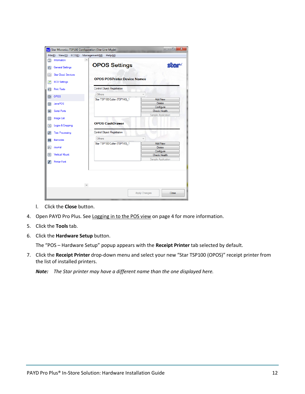| $\odot$                                      |                                             | Management(M)<br>Help(H)                                     |                          |
|----------------------------------------------|---------------------------------------------|--------------------------------------------------------------|--------------------------|
| $\mathbb{Q}$                                 | ۸<br>Information<br><b>General Settings</b> | <b>OPOS Settings</b>                                         | <b>Sitar</b>             |
| ऴ                                            | <b>Star Cloud Services</b>                  | <b>OPOS POSPrinter Device Names</b>                          |                          |
| æ                                            | <b>ECO Settings</b>                         |                                                              |                          |
| $\overline{12}$                              | <b>Print Tests</b>                          | <b>Control Object Registration</b>                           |                          |
|                                              |                                             | Others                                                       |                          |
| $\circledcirc$                               | OPOS                                        | Star TSP100 Cutter (TSP143)_1                                | <b>Add New</b>           |
| ◉                                            | <b>JavaPOS</b>                              |                                                              | <b>Delete</b>            |
|                                              |                                             |                                                              | Configure                |
| <b>o</b>                                     | <b>Serial Ports</b>                         |                                                              | <b>Check Health</b>      |
|                                              |                                             |                                                              |                          |
| H                                            | Image List                                  |                                                              | Sample Application       |
| $\overline{\overline{\cdot} \cdot}$<br>فتفدا | Logos & Cropping<br><b>Text Processing</b>  | <b>OPOS CashDrawer</b><br><b>Control Object Registration</b> |                          |
|                                              |                                             | Others                                                       |                          |
| Ш                                            | <b>Barcodes</b>                             |                                                              |                          |
|                                              | Joumal                                      | Star TSP100 Cutter (TSP143)_1                                | <b>Add New</b><br>Delete |
|                                              |                                             |                                                              | Configure                |
| $ y_c $<br>$\blacksquare$                    | <b>Vertical Mount</b>                       |                                                              | <b>Check Health</b>      |

- l. Click the **Close** button.
- 4. Open PAYD Pro Plus. See [Logging in to the POS view](#page-5-1) on page [4](#page-5-1) for more information.
- 5. Click the **Tools** tab.
- 6. Click the **Hardware Setup** button.

The "POS – Hardware Setup" popup appears with the **Receipt Printer** tab selected by default.

7. Click the **Receipt Printer** drop-down menu and select your new "Star TSP100 (OPOS)" receipt printer from the list of installed printers.

*Note: The Star printer may have a different name than the one displayed here.*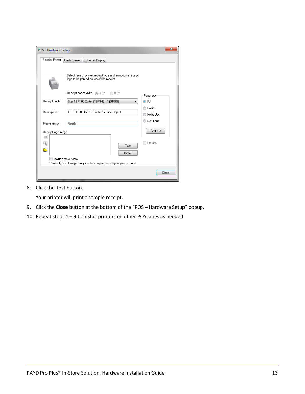| POS - Hardware Setup |                                                                                                           |           | х     |
|----------------------|-----------------------------------------------------------------------------------------------------------|-----------|-------|
| Receipt Printer      | Cash Drawer<br>Customer Display                                                                           |           |       |
|                      | Select receipt printer, receipt type and an optional receipt<br>logo to be printed on top of the receipt. |           |       |
|                      | Receipt paper width @ 3.5"<br>$\bigcirc$ 8.5"                                                             | Paper cut |       |
| Receipt printer      | Star TSP100 Cutter (TSP143) 1 (OPOS)<br>▼                                                                 | O Full    |       |
|                      |                                                                                                           | ◯ Partial |       |
| Description          | TSP100 OPOS POSPrinter Service Object                                                                     | Perforate |       |
| Printer status       | Ready                                                                                                     | Don't cut |       |
| Receipt logo image   |                                                                                                           | Test cut  |       |
| 惢<br>Q<br>⋐          | Test<br><b>Reset</b>                                                                                      | Preview   |       |
|                      | Include store name                                                                                        |           |       |
|                      | * Some types of images may not be compatible with your printer driver                                     |           |       |
|                      |                                                                                                           |           | Close |

8. Click the **Test** button.

Your printer will print a sample receipt.

- 9. Click the **Close** button at the bottom of the "POS Hardware Setup" popup.
- 10. Repeat steps 1 9 to install printers on other POS lanes as needed.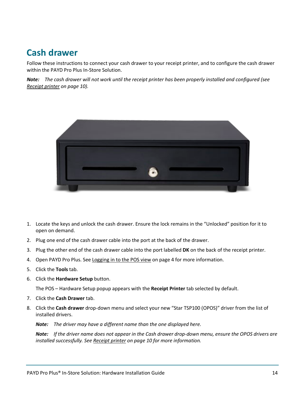### <span id="page-15-0"></span>**Cash drawer**

Follow these instructions to connect your cash drawer to your receipt printer, and to configure the cash drawer within the PAYD Pro Plus In-Store Solution.

*Note: The cash drawer will not work until the receipt printer has been properly installed and configured (see [Receipt printer](#page-11-0) on pag[e 10\)](#page-11-0).*



- 1. Locate the keys and unlock the cash drawer. Ensure the lock remains in the "Unlocked" position for it to open on demand.
- 2. Plug one end of the cash drawer cable into the port at the back of the drawer.
- 3. Plug the other end of the cash drawer cable into the port labelled **DK** on the back of the receipt printer.
- 4. Open PAYD Pro Plus. See Logging in [to the POS view](#page-5-1) on page [4](#page-5-1) for more information.
- 5. Click the **Tools** tab.
- 6. Click the **Hardware Setup** button.

The POS – Hardware Setup popup appears with the **Receipt Printer** tab selected by default.

- 7. Click the **Cash Drawer** tab.
- 8. Click the **Cash drawer** drop-down menu and select your new "Star TSP100 (OPOS)" driver from the list of installed drivers.

*Note: The driver may have a different name than the one displayed here.* 

*Note: If the driver name does not appear in the Cash drawer drop-down menu, ensure the OPOS drivers are installed successfully. See [Receipt printer](#page-11-0) on page [10](#page-11-0) for more information.*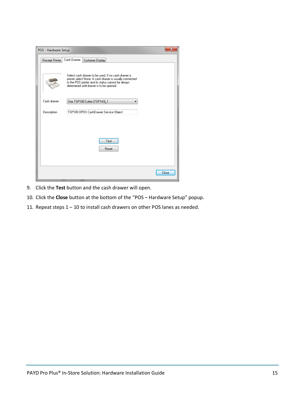| POS - Hardware Setup |                                                                                                                                                                                                                 | X            |
|----------------------|-----------------------------------------------------------------------------------------------------------------------------------------------------------------------------------------------------------------|--------------|
| Receipt Printer      | Cash Drawer<br>Customer Display                                                                                                                                                                                 |              |
|                      | Select cash drawer to be used. If no cash drawer is<br>preset select None. A cash drawer is usually connected<br>to the POS printer and its status cannot be always<br>determined until drawer is to be opened. |              |
| Cash drawer          | Star TSP100 Cutter (TSP143)_1                                                                                                                                                                                   |              |
| Description          | TSP100 OPOS CashDrawer Service Object                                                                                                                                                                           |              |
|                      | Test<br>Reset                                                                                                                                                                                                   |              |
|                      |                                                                                                                                                                                                                 | <b>Close</b> |

- 9. Click the **Test** button and the cash drawer will open.
- 10. Click the **Close** button at the bottom of the "POS Hardware Setup" popup.
- 11. Repeat steps 1 10 to install cash drawers on other POS lanes as needed.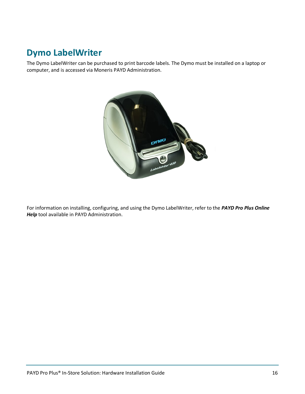# <span id="page-17-0"></span>**Dymo LabelWriter**

The Dymo LabelWriter can be purchased to print barcode labels. The Dymo must be installed on a laptop or computer, and is accessed via Moneris PAYD Administration.



For information on installing, configuring, and using the Dymo LabelWriter, refer to the *PAYD Pro Plus Online Help* tool available in PAYD Administration.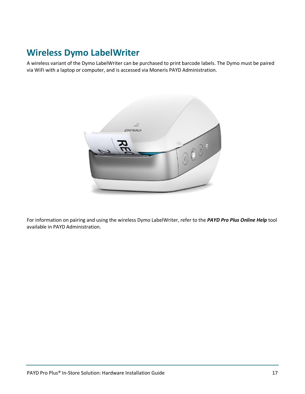### <span id="page-18-0"></span>**Wireless Dymo LabelWriter**

A wireless variant of the Dymo LabelWriter can be purchased to print barcode labels. The Dymo must be paired via WiFi with a laptop or computer, and is accessed via Moneris PAYD Administration.



For information on pairing and using the wireless Dymo LabelWriter, refer to the *PAYD Pro Plus Online Help* tool available in PAYD Administration.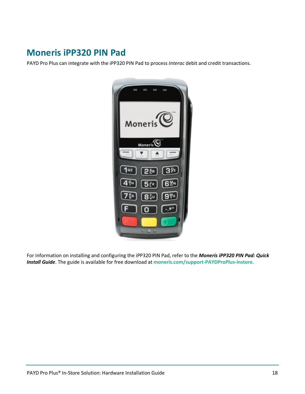### <span id="page-19-0"></span>**Moneris iPP320 PIN Pad**

PAYD Pro Plus can integrate with the iPP320 PIN Pad to process *Interac* debit and credit transactions.



For information on installing and configuring the iPP320 PIN Pad, refer to the *Moneris iPP320 PIN Pad: Quick Install Guide*. The guide is available for free download at **[moneris.com/support-PAYDProPlus-instore](https://moneris.com/support-PAYDProPlus-instore)**.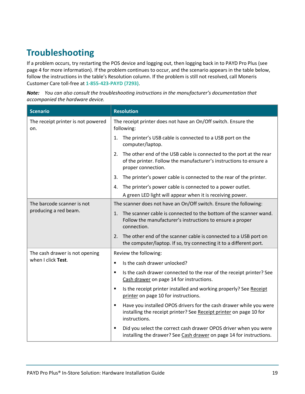# <span id="page-20-0"></span>**Troubleshooting**

If a problem occurs, try restarting the POS device and logging out, then logging back in to PAYD Pro Plus (see page [4](#page-5-1) for more information). If the problem continues to occur, and the scenario appears in the table below, follow the instructions in the table's Resolution column. If the problem is still not resolved, call Moneris Customer Care toll-free at **1-855-423-PAYD (7293)**.

| <b>Note:</b> You can also consult the troubleshooting instructions in the manufacturer's documentation that |
|-------------------------------------------------------------------------------------------------------------|
| accompanied the hardware device.                                                                            |

| <b>Scenario</b>                           | <b>Resolution</b>                                                                                                                                                     |
|-------------------------------------------|-----------------------------------------------------------------------------------------------------------------------------------------------------------------------|
| The receipt printer is not powered<br>on. | The receipt printer does not have an On/Off switch. Ensure the<br>following:                                                                                          |
|                                           | The printer's USB cable is connected to a USB port on the<br>1.<br>computer/laptop.                                                                                   |
|                                           | The other end of the USB cable is connected to the port at the rear<br>2.<br>of the printer. Follow the manufacturer's instructions to ensure a<br>proper connection. |
|                                           | The printer's power cable is connected to the rear of the printer.<br>3.                                                                                              |
|                                           | The printer's power cable is connected to a power outlet.<br>4.                                                                                                       |
|                                           | A green LED light will appear when it is receiving power.                                                                                                             |
| The barcode scanner is not                | The scanner does not have an On/Off switch. Ensure the following:                                                                                                     |
| producing a red beam.                     | The scanner cable is connected to the bottom of the scanner wand.<br>1.<br>Follow the manufacturer's instructions to ensure a proper<br>connection.                   |
|                                           | The other end of the scanner cable is connected to a USB port on<br>2.<br>the computer/laptop. If so, try connecting it to a different port.                          |
| The cash drawer is not opening            | Review the following:                                                                                                                                                 |
| when I click Test.                        | Is the cash drawer unlocked?<br>٠                                                                                                                                     |
|                                           | Is the cash drawer connected to the rear of the receipt printer? See<br>٠<br>Cash drawer on page 14 for instructions.                                                 |
|                                           | Is the receipt printer installed and working properly? See Receipt<br>п<br>printer on page 10 for instructions.                                                       |
|                                           | Have you installed OPOS drivers for the cash drawer while you were<br>٠<br>installing the receipt printer? See Receipt printer on page 10 for<br>instructions.        |
|                                           | Did you select the correct cash drawer OPOS driver when you were<br>٠<br>installing the drawer? See Cash drawer on page 14 for instructions.                          |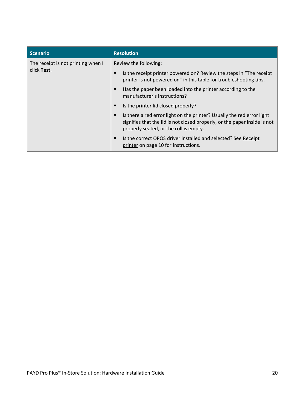| <b>Scenario</b>                    | <b>Resolution</b>                                                                                                                                                                                  |
|------------------------------------|----------------------------------------------------------------------------------------------------------------------------------------------------------------------------------------------------|
| The receipt is not printing when I | Review the following:                                                                                                                                                                              |
| click Test.                        | Is the receipt printer powered on? Review the steps in "The receipt"<br>▪<br>printer is not powered on" in this table for troubleshooting tips.                                                    |
|                                    | Has the paper been loaded into the printer according to the<br>٠<br>manufacturer's instructions?                                                                                                   |
|                                    | Is the printer lid closed properly?<br>٠                                                                                                                                                           |
|                                    | Is there a red error light on the printer? Usually the red error light<br>٠<br>signifies that the lid is not closed properly, or the paper inside is not<br>properly seated, or the roll is empty. |
|                                    | Is the correct OPOS driver installed and selected? See Receipt<br>٠<br>printer on page 10 for instructions.                                                                                        |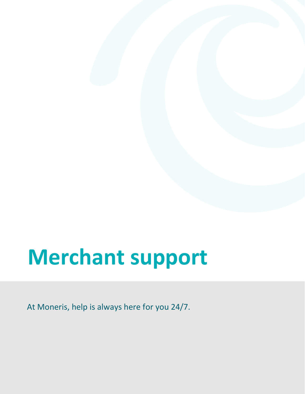# <span id="page-22-0"></span>**Merchant support**

At Moneris, help is always here for you 24/7.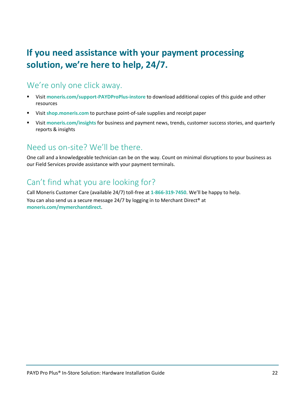# **If you need assistance with your payment processing solution, we're here to help, 24/7.**

### We're only one click away.

- Visit **[moneris.com/support-PAYDProPlus-instore](https://moneris.com/support-PAYDProPlus-instore)** to download additional copies of this guide and other resources
- Visit **[shop.moneris.com](https://shop.moneris.com/)** to purchase point-of-sale supplies and receipt paper
- Visit **[moneris.com/insights](https://moneris.com/insights)** for business and payment news, trends, customer success stories, and quarterly reports & insights

### Need us on-site? We'll be there.

One call and a knowledgeable technician can be on the way. Count on minimal disruptions to your business as our Field Services provide assistance with your payment terminals.

### Can't find what you are looking for?

Call Moneris Customer Care (available 24/7) toll-free at **1-866-319-7450**. We'll be happy to help.

You can also send us a secure message 24/7 by logging in to Merchant Direct® at **[moneris.com/mymerchantdirect](https://moneris.com/mymerchantdirect)**.